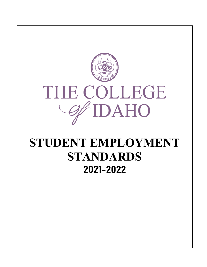

# **STUDENT EMPLOYMENT STANDARDS**  2021-2022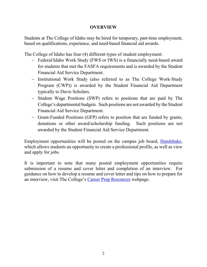## **OVERVIEW**

Students at The College of Idaho may be hired for temporary, part-time employment, based on qualifications, experience, and need-based financial aid awards.

The College of Idaho has four (4) different types of student employment:

- − Federal/Idaho Work Study (FWS or IWS) is a financially need-based award for students that met the FASFA requirements and is awarded by the Student Financial Aid Service Department.
- − Institutional Work Study (also referred to as The College Work-Study Program (CWP)) is awarded by the Student Financial Aid Department typically to Davis Scholars.
- − Student Wage Positions (SWP) refers to positions that are paid by The College's departmental budgets. Such positions are not awarded by the Student Financial Aid Service Department.
- − Grant-Funded Positions (GFP) refers to position that are funded by grants, donations or other award/scholarship funding. Such positions are not awarded by the Student Financial Aid Service Department.

Employment opportunities will be posted on the campus job board, [Handshake,](https://collegeofidaho.joinhandshake.com/login?ref=app-domain) which allows students an opportunity to create a professional profile, as well as view and apply for jobs.

It is important to note that many posted employment opportunities require submission of a resume and cover letter and completion of an interview. For guidance on how to develop a resume and cover letter and tips on how to prepare for an interview, visit The College's [Career Prep Resources](https://www.collegeofidaho.edu/academics/career/career-prep-resources) webpage.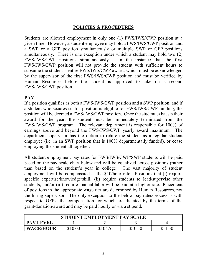### **POLICIES & PROCEDURES**

Students are allowed employment in only one (1) FWS/IWS/CWP position at a given time. However, a student employee may hold a FWS/IWS/CWP position and a SWP or a GFP position simultaneously or multiple SWP or GFP positions simultaneously. There is one exception under which a student may hold two (2) FWS/IWS/CWP positions simultaneously – in the instance that the first FWS/IWS/CWP position will not provide the student with sufficient hours to subsume the student's entire FWS/IWS/CWP award, which must be acknowledged by the supervisor of the first FWS/IWS/CWP position and must be verified by Human Resources before the student is approved to take on a second FWS/IWS/CWP position.

#### **PAY**

If a position qualifies as both a FWS/IWS/CWP position and a SWP position, and if a student who secures such a position is eligible for FWS/IWS/CWP funding, the position will be deemed a FWS/IWS/CWP position. Once the student exhausts their award for the year, the student must be immediately terminated from the FWS/IWS/CWP program. The relevant department is responsible for 100% of earnings above and beyond the FWS/IWS/CWP yearly award maximum. The department supervisor has the option to rehire the student as a regular student employee (i.e. in an SWP position that is 100% departmentally funded), or cease employing the student all together.

All student employment pay rates for FWS/IWS/CWP/SWP students will be paid based on the pay scale chart below and will be equalized across positions (rather than based on the student's year in college). The vast majority of student employment will be compensated at the \$10/hour rate. Positions that (i) require specific expertise/knowledge/skill; (ii) require students to lead/supervise other students; and/or (iii) require manual labor will be paid at a higher rate. Placement of positions in the appropriate wage tier are determined by Human Resources, not the hiring supervisor. The only exception to the below pay rates/process is with respect to GFPs, the compensation for which are dictated by the terms of the grant/donation/award and may be paid hourly or via a stipend.

| <b>STUDENT EMPLOYMENT PAY SCALE</b> |              |  |         |  |
|-------------------------------------|--------------|--|---------|--|
| <b>PAY LEVEL</b>                    |              |  |         |  |
| <b>WAGE/HOUR</b>                    | \$10.<br>.00 |  | \$10.50 |  |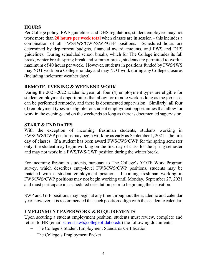# **HOURS**

Per College policy, FWS guidelines and DHS regulations, student employees may not work more than **20 hours per week total** when classes are in session – this includes a combination of all FWS/IWS/CWP/SWP/GFP positions. Scheduled hours are determined by department budgets, financial award amounts, and FWS and DHS guidelines. During scheduled school breaks, which for The College includes its fall break, winter break, spring break and summer break, students are permitted to work a maximum of 40 hours per week. However, students in positions funded by FWS/IWS may NOT work on a College holiday and may NOT work during any College closures (including inclement weather days).

# **REMOTE, EVENING & WEEKEND WORK**

During the 2021-2022 academic year, all four (4) employment types are eligible for student employment opportunities that allow for remote work as long as the job tasks can be performed remotely, and there is documented supervision. Similarly, all four (4) employment types are eligible for student employment opportunities that allow for work in the evenings and on the weekends so long as there is documented supervision.

# **START & END DATES**

With the exception of incoming freshman students, students working in FWS/IWS/CWP positions may begin working as early as September 1, 2021 – the first day of classes. If a student has been award FWS/IWS/CWP for the spring semester only, the student may begin working on the first day of class for the spring semester and may not work in a FWS/IWS/CWP position during the winter break.

For incoming freshman students, pursuant to The College's YOTE Work Program survey, which describes entry-level FWS/IWS/CWP positions, students may be matched with a student employment position. Incoming freshman working in FWS/IWS/CWP positions may not begin working until Monday, September 27, 2021 and must participate in a scheduled orientation prior to beginning their position.

SWP and GFP positions may begin at any time throughout the academic and calendar year; however, it is recommended that such positions align with the academic calendar.

# **EMPLOYMENT PAPERWORK & REQUIREMENTS**

Upon securing a student employment position, students must review, complete and return to HR (email [screnshaw@collegeofidaho.edu\)](mailto:screnshaw@collegeofidaho.edu) the following documents:

- − The College's Student Employment Standards Certification
- − The College's Employment Packet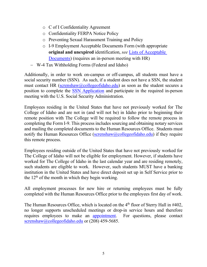- o C of I Confidentiality Agreement
- o Confidentiality FERPA Notice Policy
- o Preventing Sexual Harassment Training and Policy
- o I-9 Employment Acceptable Documents Form (with appropriate **original and unexpired** identification, *see* [Lists of Acceptable](https://www.uscis.gov/i-9-central/form-i-9-acceptable-documents)  [Documents\)](https://www.uscis.gov/i-9-central/form-i-9-acceptable-documents) (requires an in-person meeting with HR)
- − W-4 Tax Withholding Forms (Federal and Idaho)

Additionally, in order to work on-campus or off-campus, all students must have a social security number (SSN). As such, if a student does not have a SSN, the student must contact HR [\(screnshaw@collegeofidaho.edu\)](mailto:screnshaw@collegeofidaho.edu) as soon as the student secures a position to complete the [SSN Application](https://www.ssa.gov/forms/ss-5.pdf) and participate in the required in-person meeting with the U.S. Social Security Administration.

Employees residing in the United States that have not previously worked for The College of Idaho and are not in (and will not be) in Idaho prior to beginning their remote position with The College will be required to follow the remote process in completing the Form I-9. This process includes sourcing and obtaining notary services and mailing the completed documents to the Human Resources Office. Students must notify the Human Resources Office [\(screnshaw@collegeofidaho.edu\)](mailto:screnshaw@collegeofidaho.edu) if they require this remote process.

Employees residing outside of the United States that have not previously worked for The College of Idaho will not be eligible for employment. However, if students have worked for The College of Idaho in the last calendar year and are residing remotely, such students are eligible to work. However, such students MUST have a banking institution in the United States and have direct deposit set up in Self Service prior to the  $12<sup>th</sup>$  of the month in which they begin working.

All employment processes for new hire or returning employees must be fully completed with the Human Resources Office prior to the employees first day of work.

The Human Resources Office, which is located on the  $4<sup>th</sup>$  floor of Sterry Hall in  $\#402$ , no longer supports unscheduled meetings or drop-in service hours and therefore requires employees to make an [appointment.](https://calendly.com/cofihr/employment-paper-work) For questions, please contact [screnshaw@collegeofidaho.edu](mailto:screnshaw@collegeofidaho.edu) or (208) 459-5685.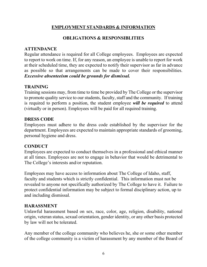# **EMPLOYMENT STANDARDS & INFORMATION**

# **OBLIGATIONS & RESPONSIBLITIES**

# **ATTENDANCE**

Regular attendance is required for all College employees. Employees are expected to report to work on time. If, for any reason, an employee is unable to report for work at their scheduled time, they are expected to notify their supervisor as far in advance as possible so that arrangements can be made to cover their responsibilities. *Excessive absenteeism could be grounds for dismissal.* 

# **TRAINING**

Training sessions may, from time to time be provided by The College or the supervisor to promote quality service to our students, faculty, staff and the community. If training is required to perform a position, the student employee *will be required* to attend (virtually or in person). Employees will be paid for all required training.

## **DRESS CODE**

Employees must adhere to the dress code established by the supervisor for the department. Employees are expected to maintain appropriate standards of grooming, personal hygiene and dress.

#### **CONDUCT**

Employees are expected to conduct themselves in a professional and ethical manner at all times. Employees are not to engage in behavior that would be detrimental to The College's interests and/or reputation.

Employees may have access to information about The College of Idaho, staff, faculty and students which is strictly confidential. This information must not be revealed to anyone not specifically authorized by The College to have it. Failure to protect confidential information may be subject to formal disciplinary action, up to and including dismissal.

#### **HARASSMENT**

Unlawful harassment based on sex, race, color, age, religion, disability, national origin, veteran status, sexual orientation, gender identity, or any other basis protected by law will not be tolerated.

Any member of the college community who believes he, she or some other member of the college community is a victim of harassment by any member of the Board of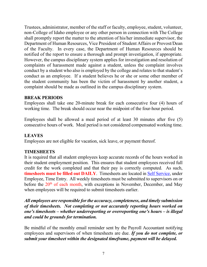Trustees, administrator, member of the staff or faculty, employee, student, volunteer, non-College of Idaho employee or any other person in connection with The College shall promptly report the matter to the attention of his/her immediate supervisor, the Department of Human Resources, Vice President of Student Affairs or Provost/Dean of the Faculty. In every case, the Department of Human Resources should be notified of the report to ensure a thorough and prompt investigation, if appropriate. However, the campus disciplinary system applies for investigation and resolution of complaints of harassment made against a student, unless the complaint involves conduct by a student who also is employed by the college and relates to that student's conduct as an employee. If a student believes he or she or some other member of the student community has been the victim of harassment by another student, a complaint should be made as outlined in the campus disciplinary system.

## **BREAK PERIODS**

Employees shall take one 20-minute break for each consecutive four (4) hours of working time. The break should occur near the midpoint of the four-hour period.

Employees shall be allowed a meal period of at least 30 minutes after five (5) consecutive hours of work. Meal period is not considered compensated working time.

# **LEAVES**

Employees are not eligible for vacation, sick leave, or payment thereof.

# **TIMESHEETS**

It is required that all student employees keep accurate records of the hours worked in their student employment position. This ensures that student employees received full credit for the work completed and that their pay is correctly computed. As such, **timesheets must be filled out DAILY**. Timesheets are located in [Self Service,](https://selfservice.collegeofidaho.edu/Student/Account/Login?ReturnUrl=%2fStudent) under Employee, Time Entry. All weekly timesheets must be submitted to supervisors on or before the  $20<sup>th</sup>$  of each month, with exceptions in November, December, and May when employees will be required to submit timesheets earlier.

*All employees are responsible for the accuracy, completeness, and timely submission of their timesheets. Not completing or not accurately reporting hours worked on one's timesheets – whether underreporting or overreporting one's hours – is illegal and could be grounds for termination.* 

Be mindful of the monthly email reminder sent by the Payroll Accountant notifying employees and supervisors of when timesheets are due. *If you do not complete, or submit your timesheet within the designated timeframe, payment will be delayed.*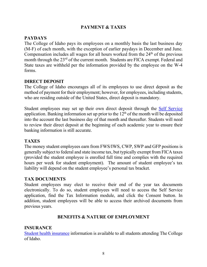# **PAYMENT & TAXES**

# **PAYDAYS**

The College of Idaho pays its employees on a monthly basis the last business day (M-F) of each month, with the exception of earlier paydays in December and June. Compensation includes all wages for all hours worked from the  $24<sup>th</sup>$  of the previous month through the 23<sup>rd</sup> of the current month. Students are FICA exempt. Federal and State taxes are withheld per the information provided by the employee on the W-4 forms.

## **DIRECT DEPOSIT**

The College of Idaho encourages all of its employees to use direct deposit as the method of payment for their employment; however, for employees, including students, who are residing outside of the United States, direct deposit is mandatory.

Student employees may set up their own direct deposit through the Self [Service](https://selfservice.collegeofidaho.edu/Student/Account/Login?ReturnUrl=%2fStudent) application. Banking information set up prior to the  $12<sup>th</sup>$  of the month will be deposited into the account the last business day of that month and thereafter. Students will need to review their direct deposit at the beginning of each academic year to ensure their banking information is still accurate.

#### **TAXES**

The money student employees earn from FWS/IWS, CWP, SWP and GFP positions is generally subject to federal and state income tax, but typically exempt from FICA taxes (provided the student employee is enrolled full time and complies with the required hours per week for student employment). The amount of student employee's tax liability will depend on the student employee's personal tax bracket.

#### **TAX DOCUMENTS**

Student employees may elect to receive their end of the year tax documents electronically. To do so, student employees will need to access the Self Service application, find the Tax Information module, and click the Consent button. In addition, student employees will be able to access their archived documents from previous years.

#### **BENEFITS & NATURE OF EMPLOYMENT**

#### **INSURANCE**

[Student health insurance](https://www.collegeofidaho.edu/student-life/wellness/student-health-services/health-insurance) information is available to all students attending The College of Idaho.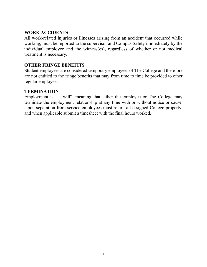# **WORK ACCIDENTS**

All work-related injuries or illnesses arising from an accident that occurred while working, must be reported to the supervisor and Campus Safety immediately by the individual employee and the witness(es), regardless of whether or not medical treatment is necessary.

# **OTHER FRINGE BENEFITS**

Student employees are considered temporary employees of The College and therefore are not entitled to the fringe benefits that may from time to time be provided to other regular employees.

#### **TERMINATION**

Employment is "at will", meaning that either the employee or The College may terminate the employment relationship at any time with or without notice or cause. Upon separation from service employees must return all assigned College property, and when applicable submit a timesheet with the final hours worked.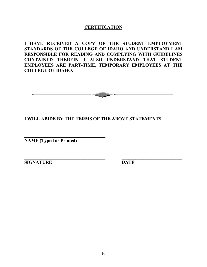## **CERTIFICATION**

**I HAVE RECEIVED A COPY OF THE STUDENT EMPLOYMENT STANDARDS OF THE COLLEGE OF IDAHO AND UNDERSTAND I AM RESPONSIBLE FOR READING AND COMPLYING WITH GUIDELINES CONTAINED THEREIN. I ALSO UNDERSTAND THAT STUDENT EMPLOYEES ARE PART-TIME, TEMPORARY EMPLOYEES AT THE COLLEGE OF IDAHO.**



**\_\_\_\_\_\_\_\_\_\_\_\_\_\_\_\_\_\_\_\_\_\_\_\_\_\_\_\_\_\_\_\_\_\_\_ \_\_\_\_\_\_\_\_\_\_\_\_\_\_\_\_\_\_\_\_\_\_\_\_\_\_**

## **I WILL ABIDE BY THE TERMS OF THE ABOVE STATEMENTS.**

**NAME (Typed or Printed)**

**\_\_\_\_\_\_\_\_\_\_\_\_\_\_\_\_\_\_\_\_\_\_\_\_\_\_\_\_\_\_\_\_\_\_\_** 

**SIGNATURE DATE**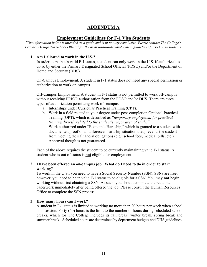# **ADDENDUM A**

#### **Employment Guidelines for F-1 Visa Students**

*\*The information below is intended as a guide and is in no way conclusive. Please contact The College's Primary Designated School Official for the most up-to-date employment guidelines for F-1 Visa students.*

#### **1. Am I allowed to work in the U.S.?**

In order to maintain valid F-1 status, a student can only work in the U.S. if authorized to do so by either the Primary Designated School Official (PDSO) and/or the Department of Homeland Security (DHS).

On-Campus Employment. A student in F-1 status does not need any special permission or authorization to work on campus.

Off-Campus Employment. A student in F-1 status is not permitted to work off-campus without receiving PRIOR authorization from the PDSO and/or DHS. There are three types of authorization permitting work off-campus:

- a. Internships under Curricular Practical Training (CPT).
- b. Work in a field related to your degree under post-completion Optional Practical Training (OPT), which is described as *"temporary employment for practical training directly related to the student's major area of study."*
- c. Work authorized under "Economic Hardship," which is granted to a student with documented proof of an unforeseen hardship situation that prevents the student from meeting their financial obligations (e.g., school fees, medical bills, etc.). Approval though is not guaranteed.

Each of the above requires the student to be currently maintaining valid F-1 status. A student who is out of status is **not** eligible for employment.

#### **2. I have been offered an on-campus job. What do I need to do in order to start working?**

To work in the U.S., you need to have a Social Security Number (SSN). SSNs are free; however, you need to be in valid F-1 status to be eligible for a SSN. You may **not** begin working without first obtaining a SSN. As such, you should complete the requisite paperwork immediately after being offered the job. Please consult the Human Resources Office to complete the SSN process.

#### **3. How many hours can I work?**

A student in F-1 status is limited to working no more than 20 hours per week when school is in session. Forty (40) hours is the limit to the number of hours during scheduled school breaks, which for The College includes its fall break, winter break, spring break and summer break. Scheduled hours are determined by department budgets and DHS guidelines.